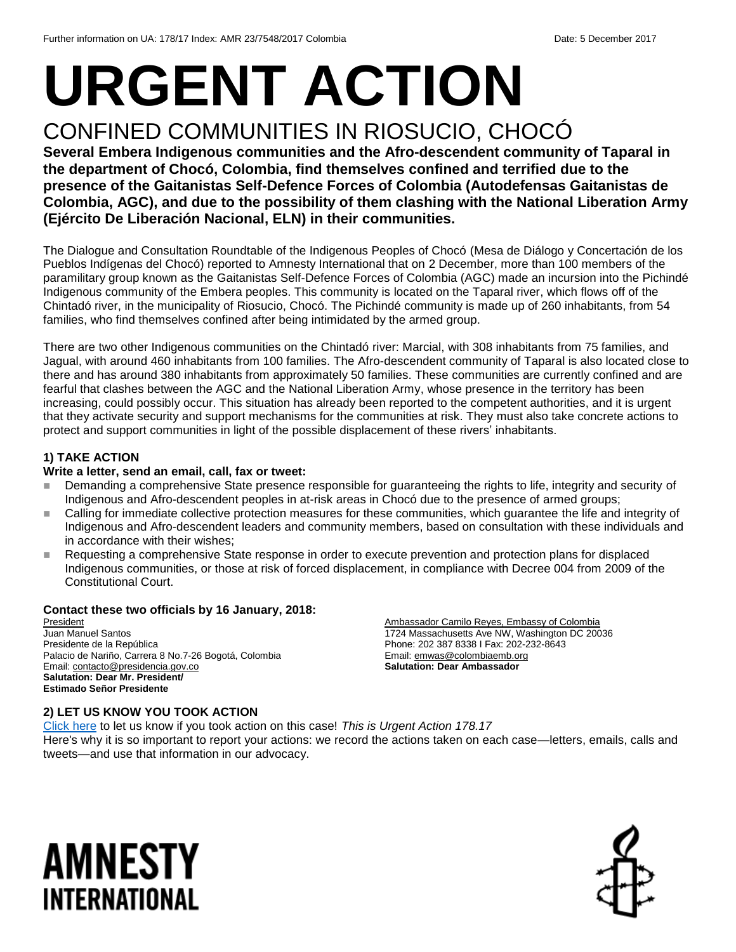# **URGENT ACTION** CONFINED COMMUNITIES IN RIOSUCIO, CHOCÓ

**Several Embera Indigenous communities and the Afro-descendent community of Taparal in the department of Chocó, Colombia, find themselves confined and terrified due to the presence of the Gaitanistas Self-Defence Forces of Colombia (Autodefensas Gaitanistas de Colombia, AGC), and due to the possibility of them clashing with the National Liberation Army (Ejército De Liberación Nacional, ELN) in their communities.**

The Dialogue and Consultation Roundtable of the Indigenous Peoples of Chocó (Mesa de Diálogo y Concertación de los Pueblos Indígenas del Chocó) reported to Amnesty International that on 2 December, more than 100 members of the paramilitary group known as the Gaitanistas Self-Defence Forces of Colombia (AGC) made an incursion into the Pichindé Indigenous community of the Embera peoples. This community is located on the Taparal river, which flows off of the Chintadó river, in the municipality of Riosucio, Chocó. The Pichindé community is made up of 260 inhabitants, from 54 families, who find themselves confined after being intimidated by the armed group.

There are two other Indigenous communities on the Chintadó river: Marcial, with 308 inhabitants from 75 families, and Jagual, with around 460 inhabitants from 100 families. The Afro-descendent community of Taparal is also located close to there and has around 380 inhabitants from approximately 50 families. These communities are currently confined and are fearful that clashes between the AGC and the National Liberation Army, whose presence in the territory has been increasing, could possibly occur. This situation has already been reported to the competent authorities, and it is urgent that they activate security and support mechanisms for the communities at risk. They must also take concrete actions to protect and support communities in light of the possible displacement of these rivers' inhabitants.

#### **1) TAKE ACTION**

#### **Write a letter, send an email, call, fax or tweet:**

- Demanding a comprehensive State presence responsible for guaranteeing the rights to life, integrity and security of Indigenous and Afro-descendent peoples in at-risk areas in Chocó due to the presence of armed groups;
- Calling for immediate collective protection measures for these communities, which guarantee the life and integrity of Indigenous and Afro-descendent leaders and community members, based on consultation with these individuals and in accordance with their wishes;
- Requesting a comprehensive State response in order to execute prevention and protection plans for displaced Indigenous communities, or those at risk of forced displacement, in compliance with Decree 004 from 2009 of the Constitutional Court.

#### **Contact these two officials by 16 January, 2018:**

President Juan Manuel Santos Presidente de la República Palacio de Nariño, Carrera 8 No.7-26 Bogotá, Colombia Email[: contacto@presidencia.gov.co](mailto:contacto@presidencia.gov.co) **Salutation: Dear Mr. President/ Estimado Señor Presidente**

Ambassador Camilo Reyes, Embassy of Colombia 1724 Massachusetts Ave NW, Washington DC 20036 Phone: 202 387 8338 I Fax: 202-232-8643 Email[: emwas@colombiaemb.org](mailto:emwas@colombiaemb.org) **Salutation: Dear Ambassador**

#### **2) LET US KNOW YOU TOOK ACTION**

[Click here](https://docs.google.com/forms/d/e/1FAIpQLSf3RUspces4lA9Gt7Fp9GiAcojCs6fnfFOTCLli3Su6c3S8ew/viewform) to let us know if you took action on this case! *This is Urgent Action 178.17* Here's why it is so important to report your actions: we record the actions taken on each case—letters, emails, calls and tweets—and use that information in our advocacy.

## AMNESTY INTERNATIONAL